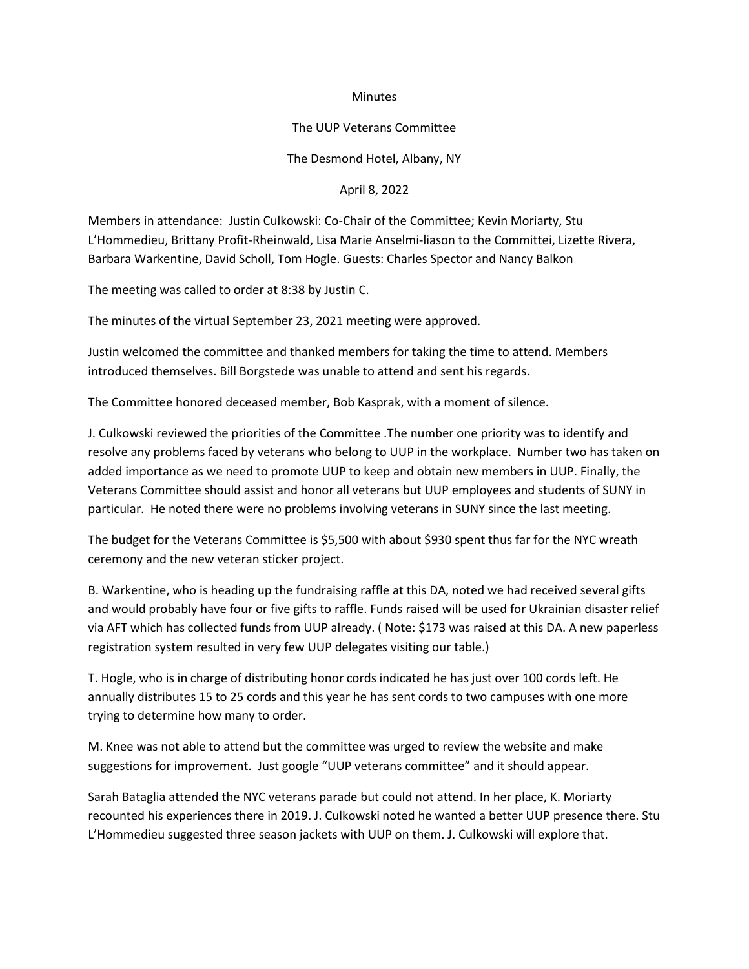## **Minutes**

## The UUP Veterans Committee

The Desmond Hotel, Albany, NY

April 8, 2022

Members in attendance: Justin Culkowski: Co-Chair of the Committee; Kevin Moriarty, Stu L'Hommedieu, Brittany Profit-Rheinwald, Lisa Marie Anselmi-liason to the Committei, Lizette Rivera, Barbara Warkentine, David Scholl, Tom Hogle. Guests: Charles Spector and Nancy Balkon

The meeting was called to order at 8:38 by Justin C.

The minutes of the virtual September 23, 2021 meeting were approved.

Justin welcomed the committee and thanked members for taking the time to attend. Members introduced themselves. Bill Borgstede was unable to attend and sent his regards.

The Committee honored deceased member, Bob Kasprak, with a moment of silence.

J. Culkowski reviewed the priorities of the Committee .The number one priority was to identify and resolve any problems faced by veterans who belong to UUP in the workplace. Number two has taken on added importance as we need to promote UUP to keep and obtain new members in UUP. Finally, the Veterans Committee should assist and honor all veterans but UUP employees and students of SUNY in particular. He noted there were no problems involving veterans in SUNY since the last meeting.

The budget for the Veterans Committee is \$5,500 with about \$930 spent thus far for the NYC wreath ceremony and the new veteran sticker project.

B. Warkentine, who is heading up the fundraising raffle at this DA, noted we had received several gifts and would probably have four or five gifts to raffle. Funds raised will be used for Ukrainian disaster relief via AFT which has collected funds from UUP already. ( Note: \$173 was raised at this DA. A new paperless registration system resulted in very few UUP delegates visiting our table.)

T. Hogle, who is in charge of distributing honor cords indicated he has just over 100 cords left. He annually distributes 15 to 25 cords and this year he has sent cords to two campuses with one more trying to determine how many to order.

M. Knee was not able to attend but the committee was urged to review the website and make suggestions for improvement. Just google "UUP veterans committee" and it should appear.

Sarah Bataglia attended the NYC veterans parade but could not attend. In her place, K. Moriarty recounted his experiences there in 2019. J. Culkowski noted he wanted a better UUP presence there. Stu L'Hommedieu suggested three season jackets with UUP on them. J. Culkowski will explore that.